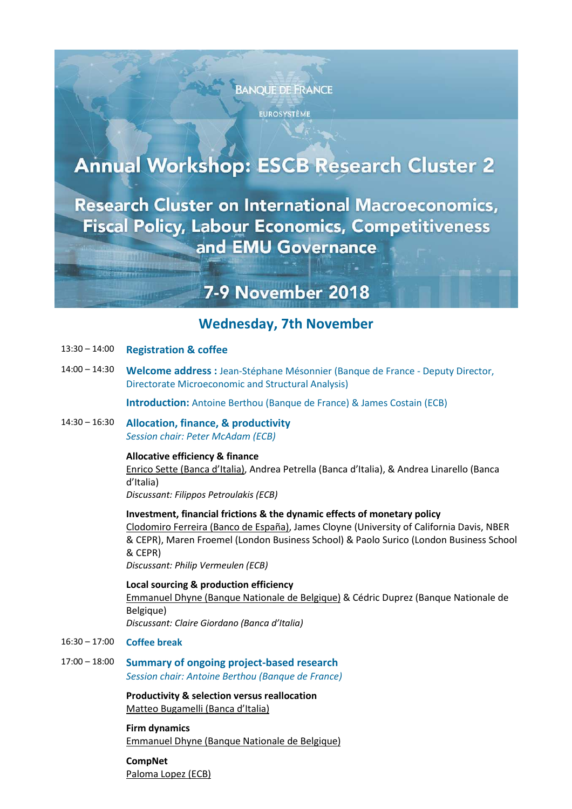

**EUROSYSTÈME** 

# **Annual Workshop: ESCB Research Cluster 2**

**Research Cluster on International Macroeconomics, Fiscal Policy, Labour Economics, Competitiveness** and EMU Governance

## **7-9 November 2018**

### **Wednesday, 7th November**

- 13:30 14:00 **Registration & coffee**
- 14:00 14:30 **Welcome address :** Jean-Stéphane Mésonnier (Banque de France Deputy Director, Directorate Microeconomic and Structural Analysis)

**Introduction:** Antoine Berthou (Banque de France) & James Costain (ECB)

14:30 – 16:30 **Allocation, finance, & productivity** *Session chair: Peter McAdam (ECB)*

#### **Allocative efficiency & finance**

Enrico Sette (Banca d'Italia), Andrea Petrella (Banca d'Italia), & Andrea Linarello (Banca d'Italia)

*Discussant: Filippos Petroulakis (ECB)*

#### **Investment, financial frictions & the dynamic effects of monetary policy**

Clodomiro Ferreira (Banco de España), James Cloyne (University of California Davis, NBER & CEPR), Maren Froemel (London Business School) & Paolo Surico (London Business School & CEPR)

*Discussant: Philip Vermeulen (ECB)*

**Local sourcing & production efficiency**  Emmanuel Dhyne (Banque Nationale de Belgique) & Cédric Duprez (Banque Nationale de Belgique) *Discussant: Claire Giordano (Banca d'Italia)*

- 16:30 17:00 **Coffee break**
- 17:00 18:00 **Summary of ongoing project-based research** *Session chair: Antoine Berthou (Banque de France)*

**Productivity & selection versus reallocation**  Matteo Bugamelli (Banca d'Italia)

**Firm dynamics**  Emmanuel Dhyne (Banque Nationale de Belgique)

**CompNet**  Paloma Lopez (ECB)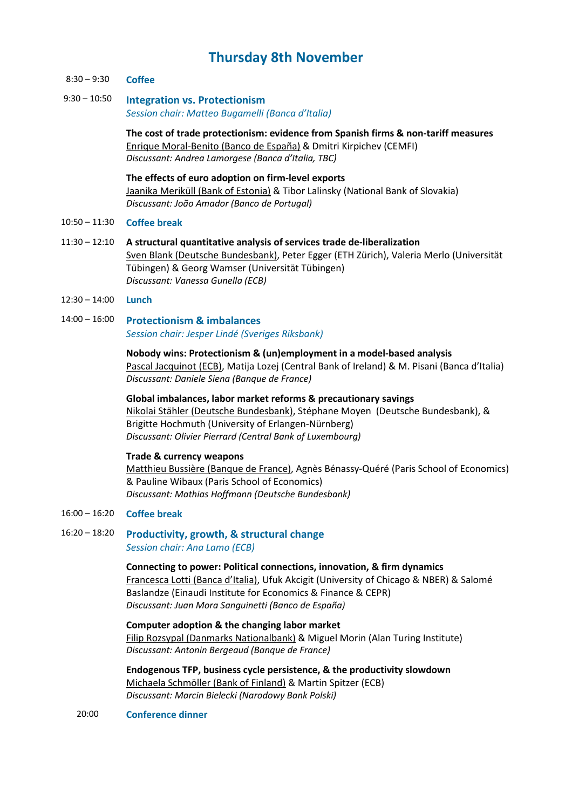## **Thursday 8th November**

- 8:30 9:30 **Coffee**
- 9:30 10:50 **Integration vs. Protectionism** *Session chair: Matteo Bugamelli (Banca d'Italia)*

**The cost of trade protectionism: evidence from Spanish firms & non-tariff measures**  Enrique Moral-Benito (Banco de España) & Dmitri Kirpichev (CEMFI) *Discussant: Andrea Lamorgese (Banca d'Italia, TBC)*

**The effects of euro adoption on firm-level exports**  Jaanika Meriküll (Bank of Estonia) & Tibor Lalinsky (National Bank of Slovakia) *Discussant: João Amador (Banco de Portugal)*

#### 10:50 – 11:30 **Coffee break**

- 11:30 12:10 **A structural quantitative analysis of services trade de-liberalization**  Sven Blank (Deutsche Bundesbank), Peter Egger (ETH Zürich), Valeria Merlo (Universität Tübingen) & Georg Wamser (Universität Tübingen) *Discussant: Vanessa Gunella (ECB)*
- 12:30 14:00 **Lunch**
- 14:00 16:00 **Protectionism & imbalances**  *Session chair: Jesper Lindé (Sveriges Riksbank)*

#### **Nobody wins: Protectionism & (un)employment in a model-based analysis**  Pascal Jacquinot (ECB), Matija Lozej (Central Bank of Ireland) & M. Pisani (Banca d'Italia) *Discussant: Daniele Siena (Banque de France)*

#### **Global imbalances, labor market reforms & precautionary savings**

Nikolai Stähler (Deutsche Bundesbank), Stéphane Moyen (Deutsche Bundesbank), & Brigitte Hochmuth (University of Erlangen-Nürnberg) *Discussant: Olivier Pierrard (Central Bank of Luxembourg)*

#### **Trade & currency weapons**

Matthieu Bussière (Banque de France), Agnès Bénassy-Quéré (Paris School of Economics) & Pauline Wibaux (Paris School of Economics) *Discussant: Mathias Hoffmann (Deutsche Bundesbank)*

- 16:00 16:20 **Coffee break**
- 16:20 18:20 **Productivity, growth, & structural change**  *Session chair: Ana Lamo (ECB)*

#### **Connecting to power: Political connections, innovation, & firm dynamics**

Francesca Lotti (Banca d'Italia), Ufuk Akcigit (University of Chicago & NBER) & Salomé Baslandze (Einaudi Institute for Economics & Finance & CEPR) *Discussant: Juan Mora Sanguinetti (Banco de España)*

**Computer adoption & the changing labor market**  Filip Rozsypal (Danmarks Nationalbank) & Miguel Morin (Alan Turing Institute) *Discussant: Antonin Bergeaud (Banque de France)*

**Endogenous TFP, business cycle persistence, & the productivity slowdown**  Michaela Schmöller (Bank of Finland) & Martin Spitzer (ECB) *Discussant: Marcin Bielecki (Narodowy Bank Polski)*

#### 20:00 **Conference dinner**